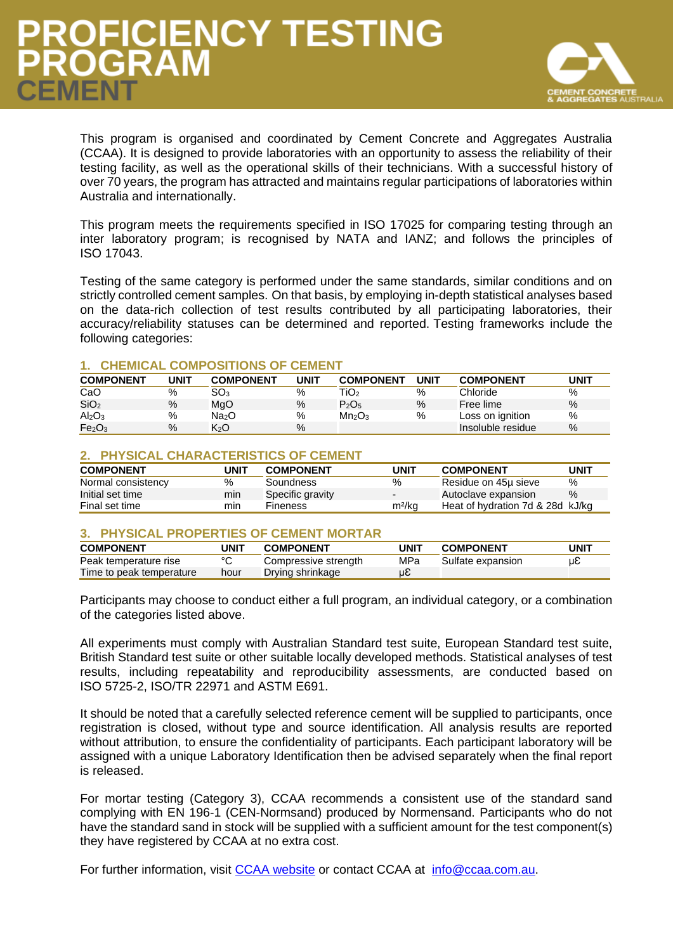## **PROFICIENCY TESTING<br>PROGRAM EMEN**



This program is organised and coordinated by Cement Concrete and Aggregates Australia (CCAA). It is designed to provide laboratories with an opportunity to assess the reliability of their testing facility, as well as the operational skills of their technicians. With a successful history of over 70 years, the program has attracted and maintains regular participations of laboratories within Australia and internationally.

This program meets the requirements specified in ISO 17025 for comparing testing through an inter laboratory program; is recognised by NATA and IANZ; and follows the principles of ISO 17043.

Testing of the same category is performed under the same standards, similar conditions and on strictly controlled cement samples. On that basis, by employing in-depth statistical analyses based on the data-rich collection of test results contributed by all participating laboratories, their accuracy/reliability statuses can be determined and reported. Testing frameworks include the following categories:

#### **1. CHEMICAL COMPOSITIONS OF CEMENT**

| <b>COMPONENT</b>               | UNIT | <b>COMPONENT</b> | <b>UNIT</b> | <b>COMPONENT</b>               | UNIT | <b>COMPONENT</b>  | UNIT |
|--------------------------------|------|------------------|-------------|--------------------------------|------|-------------------|------|
| CaO                            | %    | SO <sub>3</sub>  | %           | TiO2                           | %    | Chloride          | %    |
| SiO <sub>2</sub>               | $\%$ | MgO              | $\%$        | P <sub>2</sub> O <sub>5</sub>  | %    | Free lime         | $\%$ |
| Al <sub>2</sub> O <sub>3</sub> | %    | Na2O             | %           | Mn <sub>2</sub> O <sub>3</sub> | %    | Loss on ignition  | %    |
| Fe <sub>2</sub> O <sub>3</sub> | $\%$ | K <sub>2</sub> O | $\%$        |                                |      | Insoluble residue | %    |

#### **2. PHYSICAL CHARACTERISTICS OF CEMENT**

| <b>COMPONENT</b>   | UNIT | <b>COMPONENT</b> | UNIT                     | <b>COMPONENT</b>                 | UNIT |
|--------------------|------|------------------|--------------------------|----------------------------------|------|
| Normal consistency | %    | Soundness        | %                        | Residue on 45µ sieve             | %    |
| Initial set time   | min  | Specific gravity | $\overline{\phantom{0}}$ | Autoclave expansion              | $\%$ |
| Final set time     | mın  | <b>Fineness</b>  | m <sup>2</sup> /kg       | Heat of hydration 7d & 28d kJ/kg |      |

#### **3. PHYSICAL PROPERTIES OF CEMENT MORTAR**

| <b>COMPONENT</b>         | UNIT    | <b>COMPONENT</b>     | UNIT | <b>COMPONENT</b>  | UNIT |
|--------------------------|---------|----------------------|------|-------------------|------|
| Peak temperature rise    | $\circ$ | Compressive strength | MPa  | Sulfate expansion | uε   |
| Time to peak temperature | hour    | Drying shrinkage     | μE   |                   |      |

Participants may choose to conduct either a full program, an individual category, or a combination of the categories listed above.

All experiments must comply with Australian Standard test suite, European Standard test suite, British Standard test suite or other suitable locally developed methods. Statistical analyses of test results, including repeatability and reproducibility assessments, are conducted based on ISO 5725-2, ISO/TR 22971 and ASTM E691.

It should be noted that a carefully selected reference cement will be supplied to participants, once registration is closed, without type and source identification. All analysis results are reported without attribution, to ensure the confidentiality of participants. Each participant laboratory will be assigned with a unique Laboratory Identification then be advised separately when the final report is released.

For mortar testing (Category 3), CCAA recommends a consistent use of the standard sand complying with EN 196-1 (CEN-Normsand) produced by Normensand. Participants who do not have the standard sand in stock will be supplied with a sufficient amount for the test component(s) they have registered by CCAA at no extra cost.

For further information, visit [CCAA website](https://www.ccaa.com.au/iMIS_Prod/CCAA/Resources/Cement_Testing/CCAA/Public_Content/RESOURCES/Cement_Testing.aspx?hkey=9a550ff5-8d93-43a5-a27d-c76655946812) or contact CCAA at [info@ccaa.com.au.](mailto:info@ccaa.com.au)